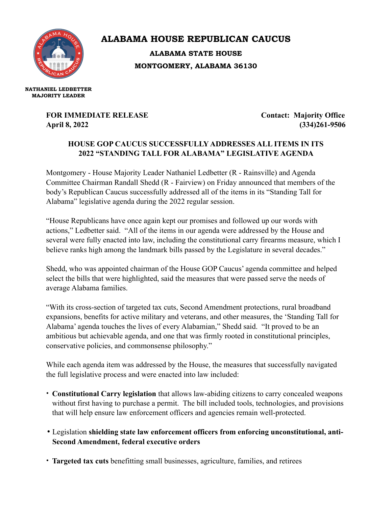

**ALABAMA HOUSE REPUBLICAN CAUCUS ALABAMA STATE HOUSE**

**MONTGOMERY, ALABAMA 36130**

**NATHANIEL LEDBETTER MAJORITY LEADER**

## **FOR IMMEDIATE RELEASE Contact: Majority Office April 8, 2022 (334)261-9506**

## **HOUSE GOP CAUCUS SUCCESSFULLY ADDRESSES ALL ITEMS IN ITS 2022 "STANDING TALL FOR ALABAMA" LEGISLATIVE AGENDA**

Montgomery - House Majority Leader Nathaniel Ledbetter (R - Rainsville) and Agenda Committee Chairman Randall Shedd (R - Fairview) on Friday announced that members of the body's Republican Caucus successfully addressed all of the items in its "Standing Tall for Alabama" legislative agenda during the 2022 regular session.

"House Republicans have once again kept our promises and followed up our words with actions," Ledbetter said. "All of the items in our agenda were addressed by the House and several were fully enacted into law, including the constitutional carry firearms measure, which I believe ranks high among the landmark bills passed by the Legislature in several decades."

Shedd, who was appointed chairman of the House GOP Caucus' agenda committee and helped select the bills that were highlighted, said the measures that were passed serve the needs of average Alabama families.

"With its cross-section of targeted tax cuts, Second Amendment protections, rural broadband expansions, benefits for active military and veterans, and other measures, the 'Standing Tall for Alabama' agenda touches the lives of every Alabamian," Shedd said. "It proved to be an ambitious but achievable agenda, and one that was firmly rooted in constitutional principles, conservative policies, and commonsense philosophy."

While each agenda item was addressed by the House, the measures that successfully navigated the full legislative process and were enacted into law included:

- **Constitutional Carry legislation** that allows law-abiding citizens to carry concealed weapons without first having to purchase a permit. The bill included tools, technologies, and provisions that will help ensure law enforcement officers and agencies remain well-protected.
- •Legislation **shielding state law enforcement officers from enforcing unconstitutional, anti-Second Amendment, federal executive orders**
- **Targeted tax cuts** benefitting small businesses, agriculture, families, and retirees